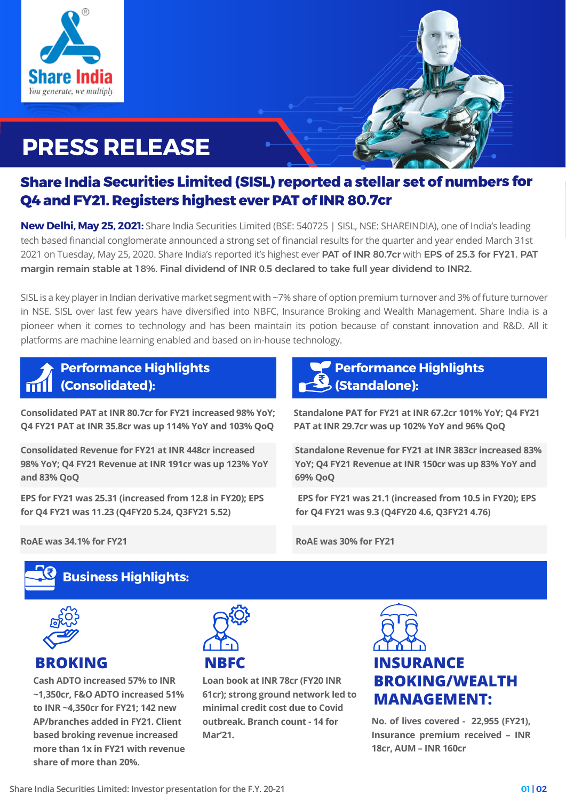

# **PRESS RELEASE**

# **Share India Securities Limited (SISL) reported a stellar set of numbers for Q4 and FY21. Registers highest ever PAT of INR 80.7cr**

**New Delhi, May 25, 2021:** Share India Securities Limited (BSE: 540725 | SISL, NSE: SHAREINDIA), one of India's leading tech based financial conglomerate announced a strong set of financial results for the quarter and year ended March 31st 2021 on Tuesday, May 25, 2020. Share India's reported it's highest ever PAT of INR 80.7cr with EPS of 25.3 for FY21. PAT margin remain stable at 18%. Final dividend of INR 0.5 declared to take full year dividend to INR2.

SISL is a key player in Indian derivative market segment with ~7% share of option premium turnover and 3% of future turnover in NSE. SISL over last few years have diversified into NBFC, Insurance Broking and Wealth Management. Share India is a pioneer when it comes to technology and has been maintain its potion because of constant innovation and R&D. All it platforms are machine learning enabled and based on in-house technology.

**Performance Highlights (Consolidated):**

**Consolidated PAT at INR 80.7cr for FY21 increased 98% YoY; Q4 FY21 PAT at INR 35.8cr was up 114% YoY and 103% QoQ**

**Consolidated Revenue for FY21 at INR 448cr increased 98% YoY; Q4 FY21 Revenue at INR 191cr was up 123% YoY and 83% QoQ**

**EPS for FY21 was 25.31 (increased from 12.8 in FY20); EPS for Q4 FY21 was 11.23 (Q4FY20 5.24, Q3FY21 5.52)**

## **Performance Highlights (Standalone):**

**Standalone PAT for FY21 at INR 67.2cr 101% YoY; Q4 FY21 PAT at INR 29.7cr was up 102% YoY and 96% QoQ**

**Standalone Revenue for FY21 at INR 383cr increased 83% YoY; Q4 FY21 Revenue at INR 150cr was up 83% YoY and 69% QoQ**

 **EPS for FY21 was 21.1 (increased from 10.5 in FY20); EPS for Q4 FY21 was 9.3 (Q4FY20 4.6, Q3FY21 4.76)**

**RoAE was 30% for FY21**

**RoAE was 34.1% for FY21**

### **Business Highlights:**



**Cash ADTO increased 57% to INR ~1,350cr, F&O ADTO increased 51% to INR ~4,350cr for FY21; 142 new AP/branches added in FY21. Client based broking revenue increased more than 1x in FY21 with revenue share of more than 20%.**



**Loan book at INR 78cr (FY20 INR 61cr); strong ground network led to minimal credit cost due to Covid outbreak. Branch count - 14 for Mar'21.**



**No. of lives covered - 22,955 (FY21), Insurance premium received – INR 18cr, AUM – INR 160cr**